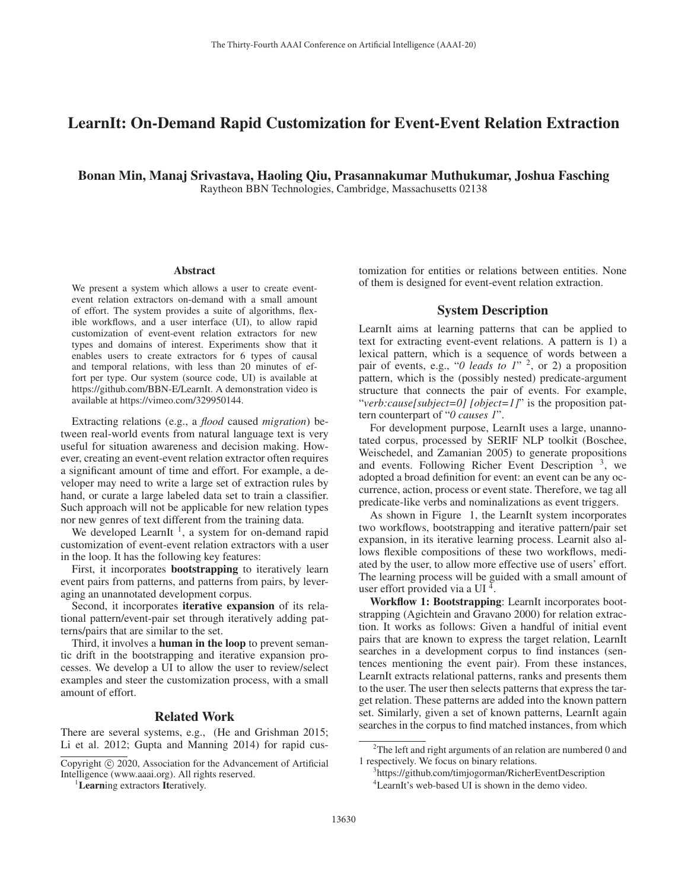# LearnIt: On-Demand Rapid Customization for Event-Event Relation Extraction

Bonan Min, Manaj Srivastava, Haoling Qiu, Prasannakumar Muthukumar, Joshua Fasching Raytheon BBN Technologies, Cambridge, Massachusetts 02138

#### Abstract

We present a system which allows a user to create eventevent relation extractors on-demand with a small amount of effort. The system provides a suite of algorithms, flexible workflows, and a user interface (UI), to allow rapid customization of event-event relation extractors for new types and domains of interest. Experiments show that it enables users to create extractors for 6 types of causal and temporal relations, with less than 20 minutes of effort per type. Our system (source code, UI) is available at https://github.com/BBN-E/LearnIt. A demonstration video is available at https://vimeo.com/329950144.

Extracting relations (e.g., a *flood* caused *migration*) between real-world events from natural language text is very useful for situation awareness and decision making. However, creating an event-event relation extractor often requires a significant amount of time and effort. For example, a developer may need to write a large set of extraction rules by hand, or curate a large labeled data set to train a classifier. Such approach will not be applicable for new relation types nor new genres of text different from the training data.

We developed LearnIt<sup>1</sup>, a system for on-demand rapid customization of event-event relation extractors with a user in the loop. It has the following key features:

First, it incorporates bootstrapping to iteratively learn event pairs from patterns, and patterns from pairs, by leveraging an unannotated development corpus.

Second, it incorporates iterative expansion of its relational pattern/event-pair set through iteratively adding patterns/pairs that are similar to the set.

Third, it involves a **human in the loop** to prevent semantic drift in the bootstrapping and iterative expansion processes. We develop a UI to allow the user to review/select examples and steer the customization process, with a small amount of effort.

## Related Work

There are several systems, e.g., (He and Grishman 2015; Li et al. 2012; Gupta and Manning 2014) for rapid cus-

tomization for entities or relations between entities. None of them is designed for event-event relation extraction.

### System Description

LearnIt aims at learning patterns that can be applied to text for extracting event-event relations. A pattern is 1) a lexical pattern, which is a sequence of words between a pair of events, e.g., "*0 leads to 1*" 2, or 2) a proposition pattern, which is the (possibly nested) predicate-argument structure that connects the pair of events. For example, "*verb:cause[subject=0] [object=1]*" is the proposition pattern counterpart of "*0 causes 1*".

For development purpose, LearnIt uses a large, unannotated corpus, processed by SERIF NLP toolkit (Boschee, Weischedel, and Zamanian 2005) to generate propositions and events. Following Richer Event Description  $3$ , we adopted a broad definition for event: an event can be any occurrence, action, process or event state. Therefore, we tag all predicate-like verbs and nominalizations as event triggers.

As shown in Figure 1, the LearnIt system incorporates two workflows, bootstrapping and iterative pattern/pair set expansion, in its iterative learning process. Learnit also allows flexible compositions of these two workflows, mediated by the user, to allow more effective use of users' effort. The learning process will be guided with a small amount of user effort provided via a UI 4.

Workflow 1: Bootstrapping: LearnIt incorporates bootstrapping (Agichtein and Gravano 2000) for relation extraction. It works as follows: Given a handful of initial event pairs that are known to express the target relation, LearnIt searches in a development corpus to find instances (sentences mentioning the event pair). From these instances, LearnIt extracts relational patterns, ranks and presents them to the user. The user then selects patterns that express the target relation. These patterns are added into the known pattern set. Similarly, given a set of known patterns, LearnIt again searches in the corpus to find matched instances, from which

Copyright  $\odot$  2020, Association for the Advancement of Artificial Intelligence (www.aaai.org). All rights reserved.

<sup>&</sup>lt;sup>1</sup>Learning extractors Iteratively.

<sup>&</sup>lt;sup>2</sup>The left and right arguments of an relation are numbered 0 and 1 respectively. We focus on binary relations.

<sup>3</sup> https://github.com/timjogorman/RicherEventDescription 4 LearnIt's web-based UI is shown in the demo video.